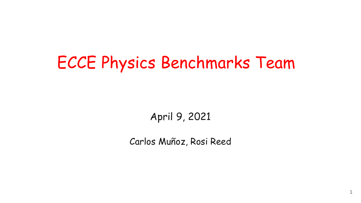# ECCE Physics Benchmarks Team

April 9, 2021

Carlos Muñoz, Rosi Reed

1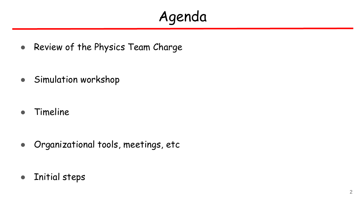## Agenda

• Review of the Physics Team Charge

● Simulation workshop

● Timeline

● Organizational tools, meetings, etc

● Initial steps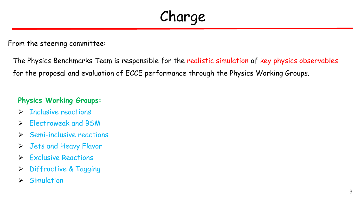Charge

From the steering committee:

The Physics Benchmarks Team is responsible for the realistic simulation of key physics observables for the proposal and evaluation of ECCE performance through the Physics Working Groups.

#### **Physics Working Groups:**

- $\triangleright$  Inclusive reactions
- $\triangleright$  Flectroweak and BSM
- $\triangleright$  Semi-inclusive reactions
- Jets and Heavy Flavor
- $\triangleright$  Exclusive Reactions
- > Diffractive & Tagging
- $\triangleright$  Simulation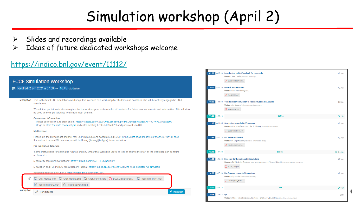### Simulation workshop (April 2)

 $\sqrt{\phantom{a}}$  Inscription

- Slides and recordings available ➤
- Ideas of future dedicated workshops welcome

### https://indico.bnl.gov/event/11112/

#### **ECCE Simulation Workshop**

vendredi 2 avr. 2021 à 07:00  $\rightarrow$  16:45 us/Eastern

| Description This is the first ECCE simulations workshop. It is intended as a workshop for students and postdocs who will be actively engaged in ECCE |
|------------------------------------------------------------------------------------------------------------------------------------------------------|
| simulations.                                                                                                                                         |

We ask that participants please register for the workshop so we have a list of contacts for future announcements and information. This will also be used to invite participants to a Mattermost channel.

#### **Connection Information:**

Please click this URL to start or join, https://jastate.zoom.us/j/99332568893?pwd=SGtDMzBYRUN6SFIPYnJYNFZXTUdxZz09 Or, go to https://iastate.zoom.us/join and enter meeting ID: 993 3256 8893 and password: 762800

#### Mattermost

Please join the Mattermost channel for Fun4All discussions based around ECCE: https://chat.sdcc.bnl.gov/eic/channels/fun4all-ecce If you do not have a BNL account, email Jin Huang (ihuang@bnl.gov) for an invitation.

#### **Pre-workshop Tutorials**

Some instructions for setting up Fun4All and EIC Smear that would be useful to look at prior to the start of the workshop can be found at: Tutorials

Singularity container instructions: https://github.com/ECCE-EIC/Singularity

Simulation and Fun4All EIC Yellow Report Tutorial: https://indico.bnl.gov/event/7281/#b-4588-detector-full-simulatio

Recorded tutorials on Fun4All: https://indico.bnl.gov/event/7254/

 $\Box$  Chat Archive 1.txt  $\Box$  Chat Archive 2.txt  $\Box$  Chat Archive 3.txt  $\Box$  ECCESimulations0...  $\Box$  Recording Part1.mp4

Recording Part2.mp4 Recording Part3.mp4

Inscription Participants

| 09:30 $\rightarrow 10:00$    | Introduction to ECCE and call for proposals<br>Orateur: John Lajoie (lowa State University)<br><b>P</b> ECCE First Software                                                         | <b>©30m</b>     |
|------------------------------|-------------------------------------------------------------------------------------------------------------------------------------------------------------------------------------|-----------------|
| 10:00 $\rightarrow$ 10:30    | <b>Fun4All Fundamentals</b><br>Orateur: Chris Pinkenburg (BNL)<br>吶<br>Fun4ECCE.pdf                                                                                                 | <b>©</b> 30m    |
| 10:30 $\rightarrow$ 11:00    | <b>Tutorial: From Simulation to Reconstruction to Analysis</b><br>Orateur: Joe Osborn (oak Ridge National Laboratory)<br>AnaTutorial.pdf<br>œ                                       | <b>©30m</b>     |
| 11:00 $-11:15$               | Coffee                                                                                                                                                                              | <b>Q</b> 15m    |
|                              | 11:15 - 11:45 Simulation towards ECCE proposal<br>Orateurs: Cameron Dean (LANL), Dr Jin Huang (Brookhaven National Lab)<br>囟<br><b>ECCE Simulation.pdf</b>                          | <b>©</b> 30m    |
|                              | 11:45 $\rightarrow$ 12:15 EIC Smear to Fun4All<br>Orateur: Dr Kolja Kauder (Brookhaven National Laboratory)<br>Kauder_eicsmear_g.                                                   | <b>©30m</b>     |
| 12:15 $\rightarrow$ 14:00    | Lunch                                                                                                                                                                               | <b>① 1h 45m</b> |
| $14:00$ $\rightarrow 14:30$  | <b>Detector Configurations in Simulations</b><br>Orateurs: Dr Friederike Bock (oak Ridge National Laboratory), Nicolas Schmidt (oak Ridge National Laboratory)<br>ECCE_Oml.pdf<br>囟 | <b>©30m</b>     |
| 14:30 $\rightarrow 15:00$    | <b>Far-Forward region in Simulations</b><br><b>Orateur: Ciprian Gal (Stony Brook University)</b><br>210402_F4A_hBea                                                                 | <b>©30m</b>     |
| $15:00$ $\rightarrow 15:15$  | Tea                                                                                                                                                                                 | <b>Q</b> 15m    |
| 15:15 $\rightarrow$ 16:15 QA | Orateurs: Chris Pinkenburg (BNL), Cristiano Fanelli (MIT), Dr Jin Huang (Brookhaven National Lab)                                                                                   | Q <sub>1h</sub> |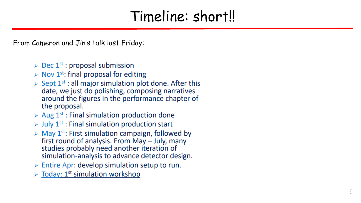### Timeline: short!!

From Cameron and Jin's talk last Friday:

- $\triangleright$  Dec 1<sup>st</sup> : proposal submission
- $\triangleright$  Nov 1<sup>st</sup>: final proposal for editing
- $\triangleright$  Sept 1<sup>st</sup> : all major simulation plot done. After this date, we just do polishing, composing narratives around the figures in the performance chapter of the proposal.
- $\triangleright$  Aug 1<sup>st</sup> : Final simulation production done
- $\triangleright$  July 1<sup>st</sup> : Final simulation production start
- $\triangleright$  May 1<sup>st</sup>: First simulation campaign, followed by first round of analysis. From May - July, many studies probably need another iteration of simulation-analysis to advance detector design.
- $\triangleright$  Entire Apr: develop simulation setup to run.
- $\triangleright$  Today: 1<sup>st</sup> simulation workshop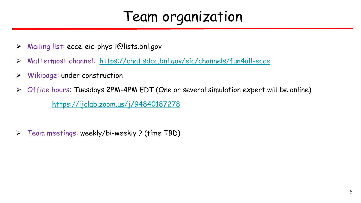### Team organization

- Mailing list: ecce-eic-phys-l@lists.bnl.gov
- Mattermost channel: <https://chat.sdcc.bnl.gov/eic/channels/fun4all-ecce>
- $\triangleright$  Wikipage: under construction
- Office hours: Tuesdays 2PM-4PM EDT (One or several simulation expert will be online) <https://ijclab.zoom.us/j/94840187278>
- $\triangleright$  Team meetings: weekly/bi-weekly ? (time TBD)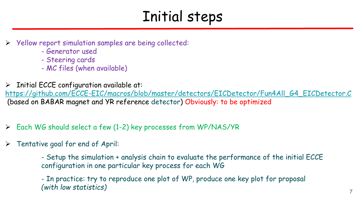### Initial steps

- Yellow report simulation samples are being collected:
	- Generator used
	- Steering cards
	- MC files (when available)
- Initial ECCE configuration available at:

[https://github.com/ECCE-EIC/macros/blob/master/detectors/EICDetector/Fun4All\\_G4\\_EICDetector.C](https://github.com/ECCE-EIC/macros/blob/master/detectors/EICDetector/Fun4All_G4_EICDetector.C) (based on BABAR magnet and YR reference detector) Obviously: to be optimized

- Each WG should select a few (1-2) key processes from WP/NAS/YR
- $\triangleright$  Tentative goal for end of April:

- Setup the simulation + analysis chain to evaluate the performance of the initial ECCE configuration in one particular key process for each WG

- In practice: try to reproduce one plot of WP, produce one key plot for proposal *(with low statistics)*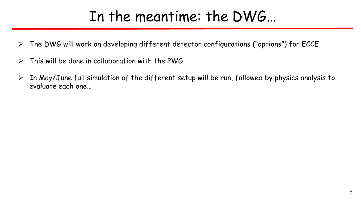### In the meantime: the DWG…

- $\triangleright$  The DWG will work on developing different detector configurations ("options") for ECCE
- $\triangleright$  This will be done in collaboration with the PWG
- $\triangleright$  In May/June full simulation of the different setup will be run, followed by physics analysis to evaluate each one…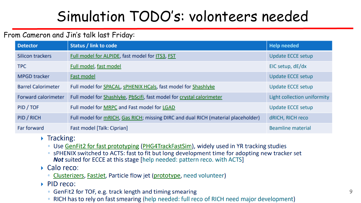## Simulation TODO's: volonteers needed

#### From Cameron and Jin's talk last Friday:

| <b>Detector</b>            | <b>Status / link to code</b>                                                      | <b>Help needed</b>          |
|----------------------------|-----------------------------------------------------------------------------------|-----------------------------|
| Silicon trackers           | Full model for ALPIDE, fast model for ITS3, FST                                   | <b>Update ECCE setup</b>    |
| <b>TPC</b>                 | Full model, fast model                                                            | EIC setup, dE/dx            |
| <b>MPGD tracker</b>        | <b>Fast model</b>                                                                 | <b>Update ECCE setup</b>    |
| <b>Barrel Calorimeter</b>  | Full model for SPACAL, SPHENIX HCals, fast model for Shashlyke                    | Update ECCE setup           |
| <b>Forward calorimeter</b> | Full model for Shashlyke, PbScifi, fast model for crystal calorimeter             | Light collection uniformity |
| PID / TOF                  | Full model for MRPC and Fast model for LGAD                                       | Update ECCE setup           |
| PID / RICH                 | Full model for mRICH, Gas RICH; missing DIRC and dual RICH (material placeholder) | dRICH, RICH reco            |
| Far forward                | Fast model [Talk: Ciprian]                                                        | <b>Beamline material</b>    |

#### $\triangleright$  Tracking:

- Use GenFit2 for fast prototyping (PHG4TrackFastSim), widely used in YR tracking studies
- sPHENIX switched to ACTS: fast to fit but long development time for adopting new tracker set Not suited for ECCE at this stage [help needed: pattern reco. with ACTS]

### $\triangleright$  Calo reco:

• Clusterizers, FastJet, Particle flow jet (prototype, need volunteer)

#### $\triangleright$  PID reco:

- GenFit2 for TOF, e.g. track length and timing smearing
- RICH has to rely on fast smearing (help needed: full reco of RICH need major development)